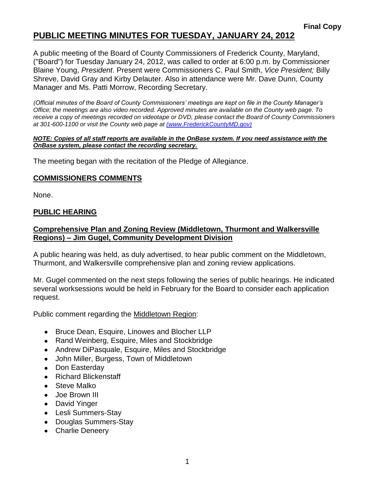# **PUBLIC MEETING MINUTES FOR TUESDAY, JANUARY 24, 2012**

A public meeting of the Board of County Commissioners of Frederick County, Maryland, ("Board") for Tuesday January 24, 2012, was called to order at 6:00 p.m. by Commissioner Blaine Young, *President*. Present were Commissioners C. Paul Smith, *Vice President;* Billy Shreve, David Gray and Kirby Delauter. Also in attendance were Mr. Dave Dunn, County Manager and Ms. Patti Morrow, Recording Secretary.

*(Official minutes of the Board of County Commissioners' meetings are kept on file in the County Manager's Office; the meetings are also video recorded. Approved minutes are available on the County web page. To receive a copy of meetings recorded on videotape or DVD, please contact the Board of County Commissioners at 301-600-1100 or visit the County web page at [\(www.FrederickCountyMD.gov\)](file://NT1S5/BOCC/BOCC/BOCC%20Minutes/Patti)*

#### *NOTE: Copies of all staff reports are available in the OnBase system. If you need assistance with the OnBase system, please contact the recording secretary.*

The meeting began with the recitation of the Pledge of Allegiance.

### **COMMISSIONERS COMMENTS**

None.

## **PUBLIC HEARING**

## **Comprehensive Plan and Zoning Review (Middletown, Thurmont and Walkersville Regions) – Jim Gugel, Community Development Division**

A public hearing was held, as duly advertised, to hear public comment on the Middletown, Thurmont, and Walkersville comprehensive plan and zoning review applications.

Mr. Gugel commented on the next steps following the series of public hearings. He indicated several worksessions would be held in February for the Board to consider each application request.

Public comment regarding the Middletown Region:

- Bruce Dean, Esquire, Linowes and Blocher LLP
- Rand Weinberg, Esquire, Miles and Stockbridge
- Andrew DiPasquale, Esquire, Miles and Stockbridge
- John Miller, Burgess, Town of Middletown
- Don Easterday
- Richard Blickenstaff
- Steve Malko
- Joe Brown III
- David Yinger
- Lesli Summers-Stay
- Douglas Summers-Stay
- Charlie Deneery